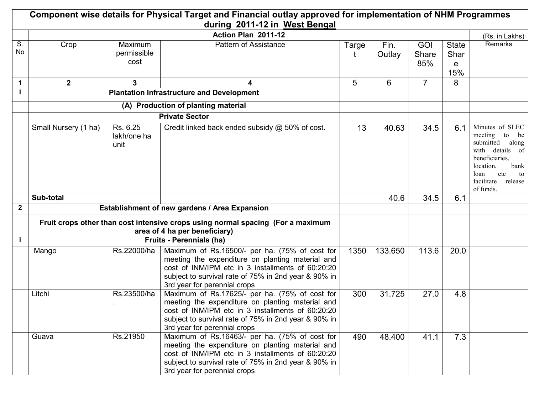|              |                         |                                 | Component wise details for Physical Target and Financial outlay approved for implementation of NHM Programmes<br>during 2011-12 in West Bengal                                                                                                  |       |                |                     |                                  |                                                                                                                                                                                   |
|--------------|-------------------------|---------------------------------|-------------------------------------------------------------------------------------------------------------------------------------------------------------------------------------------------------------------------------------------------|-------|----------------|---------------------|----------------------------------|-----------------------------------------------------------------------------------------------------------------------------------------------------------------------------------|
|              |                         |                                 | Action Plan 2011-12                                                                                                                                                                                                                             |       |                |                     |                                  | (Rs. in Lakhs)                                                                                                                                                                    |
| S.<br>No     | Crop                    | Maximum<br>permissible<br>cost  | <b>Pattern of Assistance</b>                                                                                                                                                                                                                    | Targe | Fin.<br>Outlay | GOI<br>Share<br>85% | <b>State</b><br>Shar<br>e<br>15% | Remarks                                                                                                                                                                           |
| $\mathbf 1$  | $\overline{\mathbf{2}}$ | 3                               | 4                                                                                                                                                                                                                                               | 5     | 6              | $\overline{7}$      | 8                                |                                                                                                                                                                                   |
|              |                         |                                 | <b>Plantation Infrastructure and Development</b>                                                                                                                                                                                                |       |                |                     |                                  |                                                                                                                                                                                   |
|              |                         |                                 | (A) Production of planting material                                                                                                                                                                                                             |       |                |                     |                                  |                                                                                                                                                                                   |
|              |                         |                                 | <b>Private Sector</b>                                                                                                                                                                                                                           |       |                |                     |                                  |                                                                                                                                                                                   |
|              | Small Nursery (1 ha)    | Rs. 6.25<br>lakh/one ha<br>unit | Credit linked back ended subsidy @ 50% of cost.                                                                                                                                                                                                 | 13    | 40.63          | 34.5                | 6.1                              | Minutes of SLEC<br>meeting<br>to<br>be<br>submitted<br>along<br>with details of<br>beneficiaries,<br>location,<br>bank<br>etc<br>loan<br>to<br>facilitate<br>release<br>of funds. |
|              | Sub-total               |                                 |                                                                                                                                                                                                                                                 |       | 40.6           | 34.5                | 6.1                              |                                                                                                                                                                                   |
| $\mathbf{2}$ |                         |                                 | Establishment of new gardens / Area Expansion                                                                                                                                                                                                   |       |                |                     |                                  |                                                                                                                                                                                   |
|              |                         |                                 | Fruit crops other than cost intensive crops using normal spacing (For a maximum<br>area of 4 ha per beneficiary)                                                                                                                                |       |                |                     |                                  |                                                                                                                                                                                   |
| j.           |                         |                                 | <b>Fruits - Perennials (ha)</b>                                                                                                                                                                                                                 |       |                |                     |                                  |                                                                                                                                                                                   |
|              | Mango                   | Rs.22000/ha                     | Maximum of Rs.16500/- per ha. (75% of cost for<br>meeting the expenditure on planting material and<br>cost of INM/IPM etc in 3 installments of 60:20:20<br>subject to survival rate of 75% in 2nd year & 90% in<br>3rd year for perennial crops | 1350  | 133.650        | 113.6               | 20.0                             |                                                                                                                                                                                   |
|              | Litchi                  | Rs.23500/ha                     | Maximum of Rs.17625/- per ha. (75% of cost for<br>meeting the expenditure on planting material and<br>cost of INM/IPM etc in 3 installments of 60:20:20<br>subject to survival rate of 75% in 2nd year & 90% in<br>3rd year for perennial crops | 300   | 31.725         | 27.0                | 4.8                              |                                                                                                                                                                                   |
|              | Guava                   | Rs.21950                        | Maximum of Rs.16463/- per ha. (75% of cost for<br>meeting the expenditure on planting material and<br>cost of INM/IPM etc in 3 installments of 60:20:20<br>subject to survival rate of 75% in 2nd year & 90% in<br>3rd year for perennial crops | 490   | 48.400         | 41.1                | 7.3                              |                                                                                                                                                                                   |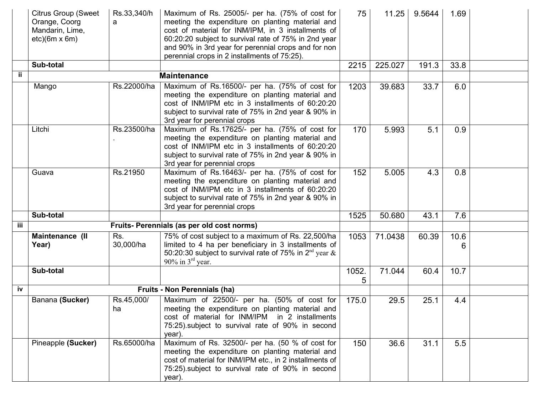|     | <b>Citrus Group (Sweet</b><br>Orange, Coorg<br>Mandarin, Lime,<br>$etc)(6m \times 6m)$ | Rs.33,340/h<br>a | Maximum of Rs. 25005/- per ha. (75% of cost for<br>meeting the expenditure on planting material and<br>cost of material for INM/IPM, in 3 installments of<br>60:20:20 subject to survival rate of 75% in 2nd year<br>and 90% in 3rd year for perennial crops and for non<br>perennial crops in 2 installments of 75:25). | 75         | 11.25   | 9.5644 | 1.69      |  |
|-----|----------------------------------------------------------------------------------------|------------------|--------------------------------------------------------------------------------------------------------------------------------------------------------------------------------------------------------------------------------------------------------------------------------------------------------------------------|------------|---------|--------|-----------|--|
|     | Sub-total                                                                              |                  |                                                                                                                                                                                                                                                                                                                          | 2215       | 225.027 | 191.3  | 33.8      |  |
| ij. |                                                                                        |                  | <b>Maintenance</b>                                                                                                                                                                                                                                                                                                       |            |         |        |           |  |
|     | Mango                                                                                  | Rs.22000/ha      | Maximum of Rs.16500/- per ha. (75% of cost for<br>meeting the expenditure on planting material and<br>cost of INM/IPM etc in 3 installments of 60:20:20<br>subject to survival rate of 75% in 2nd year & 90% in<br>3rd year for perennial crops                                                                          | 1203       | 39.683  | 33.7   | 6.0       |  |
|     | Litchi                                                                                 | Rs.23500/ha      | Maximum of Rs.17625/- per ha. (75% of cost for<br>meeting the expenditure on planting material and<br>cost of INM/IPM etc in 3 installments of 60:20:20<br>subject to survival rate of 75% in 2nd year & 90% in<br>3rd year for perennial crops                                                                          | 170        | 5.993   | 5.1    | 0.9       |  |
|     | Guava                                                                                  | Rs.21950         | Maximum of Rs.16463/- per ha. (75% of cost for<br>meeting the expenditure on planting material and<br>cost of INM/IPM etc in 3 installments of 60:20:20<br>subject to survival rate of 75% in 2nd year & 90% in<br>3rd year for perennial crops                                                                          | 152        | 5.005   | 4.3    | 0.8       |  |
|     | Sub-total                                                                              |                  |                                                                                                                                                                                                                                                                                                                          | 1525       | 50.680  | 43.1   | 7.6       |  |
| iii |                                                                                        |                  | Fruits- Perennials (as per old cost norms)                                                                                                                                                                                                                                                                               |            |         |        |           |  |
|     | Maintenance (II<br>Year)                                                               | Rs.<br>30,000/ha | 75% of cost subject to a maximum of Rs. 22,500/ha<br>limited to 4 ha per beneficiary in 3 installments of<br>50:20:30 subject to survival rate of 75% in $2^{nd}$ year $\&$<br>90% in $3rd$ year.                                                                                                                        | 1053       | 71.0438 | 60.39  | 10.6<br>6 |  |
|     | Sub-total                                                                              |                  |                                                                                                                                                                                                                                                                                                                          | 1052.<br>5 | 71.044  | 60.4   | 10.7      |  |
| iv  |                                                                                        |                  | <b>Fruits - Non Perennials (ha)</b>                                                                                                                                                                                                                                                                                      |            |         |        |           |  |
|     | Banana (Sucker)                                                                        | Rs.45,000/<br>ha | Maximum of 22500/- per ha. (50% of cost for<br>meeting the expenditure on planting material and<br>cost of material for INM/IPM in 2 installments<br>75:25). subject to survival rate of 90% in second<br>year).                                                                                                         | 175.0      | 29.5    | 25.1   | 4.4       |  |
|     | Pineapple (Sucker)                                                                     | Rs.65000/ha      | Maximum of Rs. 32500/- per ha. (50 % of cost for<br>meeting the expenditure on planting material and<br>cost of material for INM/IPM etc., in 2 installments of<br>75:25) subject to survival rate of 90% in second<br>year).                                                                                            | 150        | 36.6    | 31.1   | 5.5       |  |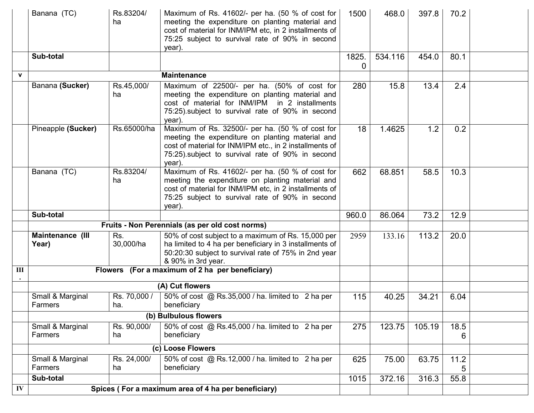|                | Banana (TC)                 | Rs.83204/<br>ha     | Maximum of Rs. 41602/- per ha. (50 % of cost for<br>meeting the expenditure on planting material and<br>cost of material for INM/IPM etc, in 2 installments of<br>75:25 subject to survival rate of 90% in second<br>year).   | 1500       | 468.0   | 397.8  | 70.2      |  |
|----------------|-----------------------------|---------------------|-------------------------------------------------------------------------------------------------------------------------------------------------------------------------------------------------------------------------------|------------|---------|--------|-----------|--|
|                | Sub-total                   |                     |                                                                                                                                                                                                                               | 1825.<br>0 | 534.116 | 454.0  | 80.1      |  |
| $\mathbf{v}$   |                             |                     | <b>Maintenance</b>                                                                                                                                                                                                            |            |         |        |           |  |
|                | Banana (Sucker)             | Rs.45,000/<br>ha    | Maximum of 22500/- per ha. (50% of cost for<br>meeting the expenditure on planting material and<br>cost of material for INM/IPM in 2 installments<br>75:25) subject to survival rate of 90% in second<br>year).               | 280        | 15.8    | 13.4   | 2.4       |  |
|                | Pineapple (Sucker)          | Rs.65000/ha         | Maximum of Rs. 32500/- per ha. (50 % of cost for<br>meeting the expenditure on planting material and<br>cost of material for INM/IPM etc., in 2 installments of<br>75:25) subject to survival rate of 90% in second<br>year). | 18         | 1.4625  | 1.2    | 0.2       |  |
|                | Banana (TC)                 | Rs.83204/<br>ha     | Maximum of Rs. 41602/- per ha. (50 % of cost for<br>meeting the expenditure on planting material and<br>cost of material for INM/IPM etc, in 2 installments of<br>75:25 subject to survival rate of 90% in second<br>year).   | 662        | 68.851  | 58.5   | 10.3      |  |
|                | Sub-total                   |                     |                                                                                                                                                                                                                               | 960.0      | 86.064  | 73.2   | 12.9      |  |
|                |                             |                     | Fruits - Non Perennials (as per old cost norms)                                                                                                                                                                               |            |         |        |           |  |
|                | Maintenance (III<br>Year)   | Rs.<br>30,000/ha    | 50% of cost subject to a maximum of Rs. 15,000 per<br>ha limited to 4 ha per beneficiary in 3 installments of<br>50:20:30 subject to survival rate of 75% in 2nd year<br>& 90% in 3rd year.                                   | 2959       | 133.16  | 113.2  | 20.0      |  |
| $\mathbf{III}$ |                             |                     | Flowers (For a maximum of 2 ha per beneficiary)                                                                                                                                                                               |            |         |        |           |  |
|                |                             |                     | (A) Cut flowers                                                                                                                                                                                                               |            |         |        |           |  |
|                | Small & Marginal<br>Farmers | Rs. 70,000 /<br>ha. | 50% of cost @ Rs.35,000 / ha. limited to 2 ha per<br>beneficiary                                                                                                                                                              | 115        | 40.25   | 34.21  | 6.04      |  |
|                |                             |                     | (b) Bulbulous flowers                                                                                                                                                                                                         |            |         |        |           |  |
|                | Small & Marginal<br>Farmers | Rs. 90,000/<br>ha   | 50% of cost @ Rs.45,000 / ha. limited to 2 ha per<br>beneficiary                                                                                                                                                              | 275        | 123.75  | 105.19 | 18.5<br>6 |  |
|                |                             |                     | (c) Loose Flowers                                                                                                                                                                                                             |            |         |        |           |  |
|                | Small & Marginal<br>Farmers | Rs. 24,000/<br>ha   | 50% of cost @ Rs.12,000 / ha. limited to 2 ha per<br>beneficiary                                                                                                                                                              | 625        | 75.00   | 63.75  | 11.2<br>5 |  |
|                | Sub-total                   |                     |                                                                                                                                                                                                                               | 1015       | 372.16  | 316.3  | 55.8      |  |
| ${\bf IV}$     |                             |                     | Spices (For a maximum area of 4 ha per beneficiary)                                                                                                                                                                           |            |         |        |           |  |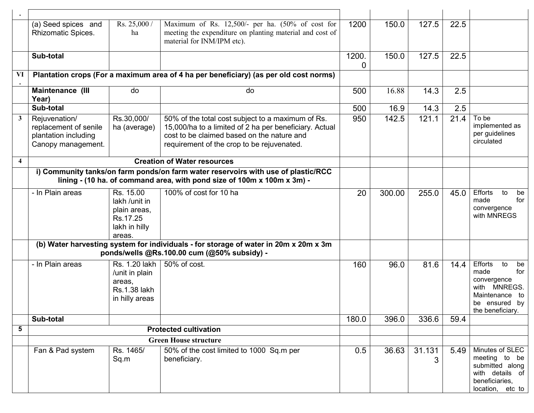|                         | (a) Seed spices and<br>Rhizomatic Spices.                                                                                                                    | Rs. 25,000 /<br>ha                                                                | Maximum of Rs. 12,500/- per ha. (50% of cost for<br>meeting the expenditure on planting material and cost of<br>material for INM/IPM etc).                                                              | 1200       | 150.0  | 127.5  | 22.5 |                                                                                                                                |
|-------------------------|--------------------------------------------------------------------------------------------------------------------------------------------------------------|-----------------------------------------------------------------------------------|---------------------------------------------------------------------------------------------------------------------------------------------------------------------------------------------------------|------------|--------|--------|------|--------------------------------------------------------------------------------------------------------------------------------|
|                         | Sub-total                                                                                                                                                    |                                                                                   |                                                                                                                                                                                                         | 1200.<br>0 | 150.0  | 127.5  | 22.5 |                                                                                                                                |
| VI                      |                                                                                                                                                              |                                                                                   | Plantation crops (For a maximum area of 4 ha per beneficiary) (as per old cost norms)                                                                                                                   |            |        |        |      |                                                                                                                                |
|                         | Maintenance (III<br>Year)                                                                                                                                    | do                                                                                | do                                                                                                                                                                                                      | 500        | 16.88  | 14.3   | 2.5  |                                                                                                                                |
|                         | Sub-total                                                                                                                                                    |                                                                                   |                                                                                                                                                                                                         | 500        | 16.9   | 14.3   | 2.5  |                                                                                                                                |
| $\mathbf{3}$            | Rejuvenation/<br>replacement of senile<br>plantation including<br>Canopy management.                                                                         | Rs.30,000/<br>ha (average)                                                        | 50% of the total cost subject to a maximum of Rs.<br>15,000/ha to a limited of 2 ha per beneficiary. Actual<br>cost to be claimed based on the nature and<br>requirement of the crop to be rejuvenated. | 950        | 142.5  | 121.1  | 21.4 | To be<br>implemented as<br>per guidelines<br>circulated                                                                        |
| $\overline{\mathbf{4}}$ |                                                                                                                                                              |                                                                                   | <b>Creation of Water resources</b>                                                                                                                                                                      |            |        |        |      |                                                                                                                                |
|                         | i) Community tanks/on farm ponds/on farm water reservoirs with use of plastic/RCC<br>lining - (10 ha. of command area, with pond size of 100m x 100m x 3m) - |                                                                                   |                                                                                                                                                                                                         |            |        |        |      |                                                                                                                                |
|                         | - In Plain areas                                                                                                                                             | Rs. 15.00<br>lakh /unit in<br>plain areas,<br>Rs.17.25<br>lakh in hilly<br>areas. | 100% of cost for 10 ha                                                                                                                                                                                  | 20         | 300.00 | 255.0  | 45.0 | Efforts<br>to<br>be<br>for<br>made<br>convergence<br>with MNREGS                                                               |
|                         |                                                                                                                                                              |                                                                                   | (b) Water harvesting system for individuals - for storage of water in 20m x 20m x 3m<br>ponds/wells @Rs.100.00 cum (@50% subsidy) -                                                                     |            |        |        |      |                                                                                                                                |
|                         | - In Plain areas                                                                                                                                             | Rs. 1.20 lakh<br>/unit in plain<br>areas,<br>Rs.1.38 lakh<br>in hilly areas       | 50% of cost.                                                                                                                                                                                            | 160        | 96.0   | 81.6   | 14.4 | Efforts<br>to<br>be<br>for<br>made<br>convergence<br>MNREGS.<br>with<br>Maintenance<br>to<br>be ensured by<br>the beneficiary. |
|                         | Sub-total                                                                                                                                                    |                                                                                   |                                                                                                                                                                                                         | 180.0      | 396.0  | 336.6  | 59.4 |                                                                                                                                |
| 5                       |                                                                                                                                                              |                                                                                   | <b>Protected cultivation</b>                                                                                                                                                                            |            |        |        |      |                                                                                                                                |
|                         |                                                                                                                                                              |                                                                                   | <b>Green House structure</b>                                                                                                                                                                            |            |        |        |      |                                                                                                                                |
|                         | Fan & Pad system                                                                                                                                             | Rs. 1465/<br>Sq.m                                                                 | 50% of the cost limited to 1000 Sq.m per<br>beneficiary.                                                                                                                                                | 0.5        | 36.63  | 31.131 | 5.49 | Minutes of SLEC<br>meeting to be<br>submitted along<br>with details of<br>beneficiaries,<br>location, etc to                   |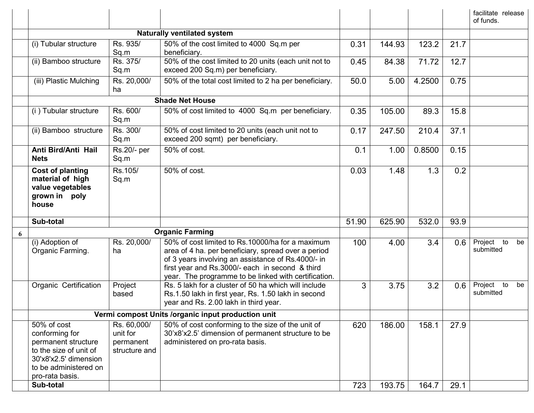|   |                                                                                                                                                     |                                                       |                                                                                                                                                                                                                                                                          |       |        |                  |      | facilitate release<br>of funds.  |
|---|-----------------------------------------------------------------------------------------------------------------------------------------------------|-------------------------------------------------------|--------------------------------------------------------------------------------------------------------------------------------------------------------------------------------------------------------------------------------------------------------------------------|-------|--------|------------------|------|----------------------------------|
|   |                                                                                                                                                     |                                                       | <b>Naturally ventilated system</b>                                                                                                                                                                                                                                       |       |        |                  |      |                                  |
|   | (i) Tubular structure                                                                                                                               | Rs. 935/<br>Sq.m                                      | 50% of the cost limited to 4000 Sq.m per<br>beneficiary.                                                                                                                                                                                                                 | 0.31  | 144.93 | 123.2            | 21.7 |                                  |
|   | (ii) Bamboo structure                                                                                                                               | Rs. 375/<br>Sq.m                                      | 50% of the cost limited to 20 units (each unit not to<br>exceed 200 Sq.m) per beneficiary.                                                                                                                                                                               | 0.45  | 84.38  | 71.72            | 12.7 |                                  |
|   | (iii) Plastic Mulching                                                                                                                              | Rs. 20,000/<br>ha                                     | 50% of the total cost limited to 2 ha per beneficiary.                                                                                                                                                                                                                   | 50.0  | 5.00   | 4.2500           | 0.75 |                                  |
|   |                                                                                                                                                     |                                                       | <b>Shade Net House</b>                                                                                                                                                                                                                                                   |       |        |                  |      |                                  |
|   | (i) Tubular structure                                                                                                                               | Rs. 600/<br>Sq.m                                      | 50% of cost limited to 4000 Sq.m per beneficiary.                                                                                                                                                                                                                        | 0.35  | 105.00 | 89.3             | 15.8 |                                  |
|   | (ii) Bamboo structure                                                                                                                               | Rs. 300/<br>Sq.m                                      | 50% of cost limited to 20 units (each unit not to<br>exceed 200 sqmt) per beneficiary.                                                                                                                                                                                   | 0.17  | 247.50 | 210.4            | 37.1 |                                  |
|   | Anti Bird/Anti Hail<br><b>Nets</b>                                                                                                                  | Rs.20/- per<br>Sq.m                                   | 50% of cost.                                                                                                                                                                                                                                                             | 0.1   | 1.00   | 0.8500           | 0.15 |                                  |
|   | Cost of planting<br>material of high<br>value vegetables<br>grown in poly<br>house                                                                  | Rs.105/<br>Sq.m                                       | 50% of cost.                                                                                                                                                                                                                                                             | 0.03  | 1.48   | 1.3              | 0.2  |                                  |
|   | Sub-total                                                                                                                                           |                                                       |                                                                                                                                                                                                                                                                          | 51.90 | 625.90 | 532.0            | 93.9 |                                  |
| 6 |                                                                                                                                                     |                                                       | <b>Organic Farming</b>                                                                                                                                                                                                                                                   |       |        |                  |      |                                  |
|   | (i) Adoption of<br>Organic Farming.                                                                                                                 | Rs. 20,000/<br>ha                                     | 50% of cost limited to Rs.10000/ha for a maximum<br>area of 4 ha. per beneficiary, spread over a period<br>of 3 years involving an assistance of Rs.4000/- in<br>first year and Rs.3000/- each in second & third<br>year. The programme to be linked with certification. | 100   | 4.00   | 3.4              | 0.6  | Project to<br>be<br>submitted    |
|   | Organic Certification                                                                                                                               | Project<br>based                                      | Rs. 5 lakh for a cluster of 50 ha which will include<br>Rs.1.50 lakh in first year, Rs. 1.50 lakh in second<br>year and Rs. 2.00 lakh in third year.                                                                                                                     | 3     | 3.75   | $\overline{3.2}$ | 0.6  | Project<br>to<br>be<br>submitted |
|   |                                                                                                                                                     |                                                       | Vermi compost Units /organic input production unit                                                                                                                                                                                                                       |       |        |                  |      |                                  |
|   | 50% of cost<br>conforming for<br>permanent structure<br>to the size of unit of<br>30'x8'x2.5' dimension<br>to be administered on<br>pro-rata basis. | Rs. 60,000/<br>unit for<br>permanent<br>structure and | 50% of cost conforming to the size of the unit of<br>30'x8'x2.5' dimension of permanent structure to be<br>administered on pro-rata basis.                                                                                                                               | 620   | 186.00 | 158.1            | 27.9 |                                  |
|   | Sub-total                                                                                                                                           |                                                       |                                                                                                                                                                                                                                                                          | 723   | 193.75 | 164.7            | 29.1 |                                  |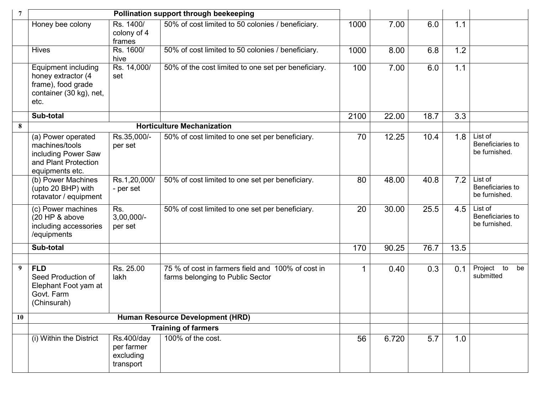| 7         |                                                                                                        |                                                           | Pollination support through beekeeping                                                |      |       |      |      |                                                |
|-----------|--------------------------------------------------------------------------------------------------------|-----------------------------------------------------------|---------------------------------------------------------------------------------------|------|-------|------|------|------------------------------------------------|
|           | Honey bee colony                                                                                       | Rs. 1400/<br>colony of 4<br>frames                        | 50% of cost limited to 50 colonies / beneficiary.                                     | 1000 | 7.00  | 6.0  | 1.1  |                                                |
|           | <b>Hives</b>                                                                                           | Rs. 1600/<br>hive                                         | 50% of cost limited to 50 colonies / beneficiary.                                     | 1000 | 8.00  | 6.8  | 1.2  |                                                |
|           | Equipment including<br>honey extractor (4<br>frame), food grade<br>container (30 kg), net,<br>etc.     | Rs. 14,000/<br>set                                        | 50% of the cost limited to one set per beneficiary.                                   | 100  | 7.00  | 6.0  | 1.1  |                                                |
|           | Sub-total                                                                                              |                                                           |                                                                                       | 2100 | 22.00 | 18.7 | 3.3  |                                                |
| 8         |                                                                                                        |                                                           | <b>Horticulture Mechanization</b>                                                     |      |       |      |      |                                                |
|           | (a) Power operated<br>machines/tools<br>including Power Saw<br>and Plant Protection<br>equipments etc. | Rs.35,000/-<br>per set                                    | 50% of cost limited to one set per beneficiary.                                       | 70   | 12.25 | 10.4 | 1.8  | $List$ of<br>Beneficiaries to<br>be furnished. |
|           | (b) Power Machines<br>(upto 20 BHP) with<br>rotavator / equipment                                      | Rs.1,20,000/<br>- per set                                 | 50% of cost limited to one set per beneficiary.                                       | 80   | 48.00 | 40.8 | 7.2  | List of<br>Beneficiaries to<br>be furnished.   |
|           | (c) Power machines<br>(20 HP & above<br>including accessories<br>/equipments                           | Rs.<br>$3,00,000/-$<br>per set                            | 50% of cost limited to one set per beneficiary.                                       | 20   | 30.00 | 25.5 | 4.5  | List of<br>Beneficiaries to<br>be furnished.   |
|           | Sub-total                                                                                              |                                                           |                                                                                       | 170  | 90.25 | 76.7 | 13.5 |                                                |
|           |                                                                                                        |                                                           |                                                                                       |      |       |      |      |                                                |
| 9         | <b>FLD</b><br>Seed Production of<br>Elephant Foot yam at<br>Govt. Farm<br>(Chinsurah)                  | Rs. 25.00<br>lakh                                         | 75 % of cost in farmers field and 100% of cost in<br>farms belonging to Public Sector |      | 0.40  | 0.3  | 0.1  | Project<br>to<br>be<br>submitted               |
| <b>10</b> |                                                                                                        |                                                           | Human Resource Development (HRD)                                                      |      |       |      |      |                                                |
|           |                                                                                                        |                                                           | <b>Training of farmers</b>                                                            |      |       |      |      |                                                |
|           | (i) Within the District                                                                                | <b>Rs.400/day</b><br>per farmer<br>excluding<br>transport | 100% of the cost.                                                                     | 56   | 6.720 | 5.7  | 1.0  |                                                |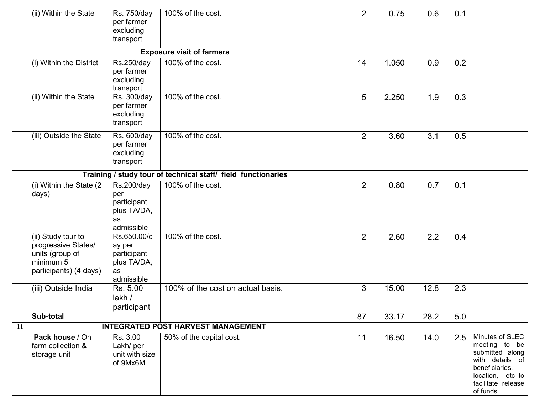|    | (ii) Within the State                                                                               | Rs. 750/day<br>per farmer<br>excluding<br>transport                     | 100% of the cost.                                             | $\overline{2}$ | 0.75  | 0.6  | 0.1 |                                                                                                                                                 |
|----|-----------------------------------------------------------------------------------------------------|-------------------------------------------------------------------------|---------------------------------------------------------------|----------------|-------|------|-----|-------------------------------------------------------------------------------------------------------------------------------------------------|
|    |                                                                                                     |                                                                         | <b>Exposure visit of farmers</b>                              |                |       |      |     |                                                                                                                                                 |
|    | (i) Within the District                                                                             | Rs.250/day<br>per farmer<br>excluding<br>transport                      | 100% of the cost.                                             | 14             | 1.050 | 0.9  | 0.2 |                                                                                                                                                 |
|    | (ii) Within the State                                                                               | Rs. 300/day<br>per farmer<br>excluding<br>transport                     | 100% of the cost.                                             | 5              | 2.250 | 1.9  | 0.3 |                                                                                                                                                 |
|    | (iii) Outside the State                                                                             | Rs. 600/day<br>per farmer<br>excluding<br>transport                     | 100% of the cost.                                             | $\overline{2}$ | 3.60  | 3.1  | 0.5 |                                                                                                                                                 |
|    |                                                                                                     |                                                                         | Training / study tour of technical staff/ field functionaries |                |       |      |     |                                                                                                                                                 |
|    | (i) Within the State (2)<br>days)                                                                   | Rs.200/day<br>per<br>participant<br>plus TA/DA,<br>as<br>admissible     | 100% of the cost.                                             | $\overline{2}$ | 0.80  | 0.7  | 0.1 |                                                                                                                                                 |
|    | (ii) Study tour to<br>progressive States/<br>units (group of<br>minimum 5<br>participants) (4 days) | Rs.650.00/d<br>ay per<br>participant<br>plus TA/DA,<br>as<br>admissible | 100% of the cost.                                             | $\overline{2}$ | 2.60  | 2.2  | 0.4 |                                                                                                                                                 |
|    | (iii) Outside India                                                                                 | Rs. 5.00<br>lakh /<br>participant                                       | 100% of the cost on actual basis.                             | 3              | 15.00 | 12.8 | 2.3 |                                                                                                                                                 |
|    | Sub-total                                                                                           |                                                                         |                                                               | 87             | 33.17 | 28.2 | 5.0 |                                                                                                                                                 |
| 11 |                                                                                                     |                                                                         | <b>INTEGRATED POST HARVEST MANAGEMENT</b>                     |                |       |      |     |                                                                                                                                                 |
|    | Pack house / On<br>farm collection &<br>storage unit                                                | Rs. 3.00<br>Lakh/ per<br>unit with size<br>of 9Mx6M                     | 50% of the capital cost.                                      | 11             | 16.50 | 14.0 | 2.5 | Minutes of SLEC<br>meeting to be<br>submitted along<br>with details of<br>beneficiaries,<br>location, etc to<br>facilitate release<br>of funds. |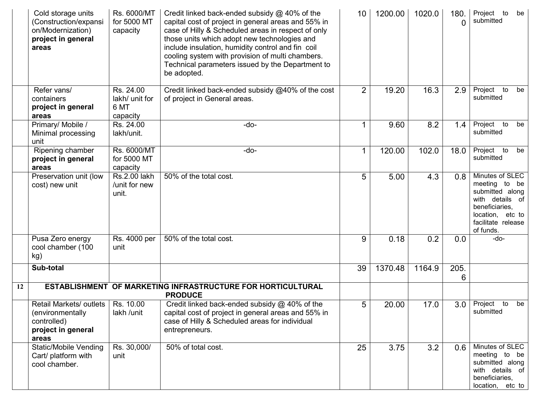|    | Cold storage units<br>(Construction/expansi<br>on/Modernization)<br>project in general<br>areas | Rs. 6000/MT<br>for 5000 MT<br>capacity          | Credit linked back-ended subsidy @ 40% of the<br>capital cost of project in general areas and 55% in<br>case of Hilly & Scheduled areas in respect of only<br>those units which adopt new technologies and<br>include insulation, humidity control and fin coil<br>cooling system with provision of multi chambers.<br>Technical parameters issued by the Department to<br>be adopted. | 10             | 1200.00 | 1020.0 | 180.<br>$\Omega$ | Project to<br>be<br>submitted                                                                                                                      |
|----|-------------------------------------------------------------------------------------------------|-------------------------------------------------|----------------------------------------------------------------------------------------------------------------------------------------------------------------------------------------------------------------------------------------------------------------------------------------------------------------------------------------------------------------------------------------|----------------|---------|--------|------------------|----------------------------------------------------------------------------------------------------------------------------------------------------|
|    | Refer vans/<br>containers<br>project in general<br>areas                                        | Rs. 24.00<br>lakh/ unit for<br>6 MT<br>capacity | Credit linked back-ended subsidy @40% of the cost<br>of project in General areas.                                                                                                                                                                                                                                                                                                      | $\overline{2}$ | 19.20   | 16.3   | 2.9              | Project<br>to<br>be<br>submitted                                                                                                                   |
|    | Primary/ Mobile /<br>Minimal processing<br>unit                                                 | Rs. 24.00<br>lakh/unit.                         | $-do-$                                                                                                                                                                                                                                                                                                                                                                                 |                | 9.60    | 8.2    | 1.4              | Project<br>to<br>be<br>submitted                                                                                                                   |
|    | Ripening chamber<br>project in general<br>areas                                                 | Rs. 6000/MT<br>for 5000 MT<br>capacity          | -do-                                                                                                                                                                                                                                                                                                                                                                                   |                | 120.00  | 102.0  | 18.0             | Project<br>to<br>be<br>submitted                                                                                                                   |
|    | Preservation unit (low<br>cost) new unit                                                        | Rs.2.00 lakh<br>/unit for new<br>unit.          | 50% of the total cost.                                                                                                                                                                                                                                                                                                                                                                 | 5              | 5.00    | 4.3    | 0.8              | Minutes of SLEC<br>meeting to<br>be<br>submitted along<br>with details of<br>beneficiaries,<br>location, etc to<br>facilitate release<br>of funds. |
|    | Pusa Zero energy<br>cool chamber (100<br>kg)                                                    | Rs. 4000 per<br>unit                            | 50% of the total cost.                                                                                                                                                                                                                                                                                                                                                                 | 9              | 0.18    | 0.2    | 0.0              | -do-                                                                                                                                               |
|    | Sub-total                                                                                       |                                                 |                                                                                                                                                                                                                                                                                                                                                                                        | 39             | 1370.48 | 1164.9 | 205.<br>6        |                                                                                                                                                    |
| 12 |                                                                                                 |                                                 | ESTABLISHMENT OF MARKETING INFRASTRUCTURE FOR HORTICULTURAL<br><b>PRODUCE</b>                                                                                                                                                                                                                                                                                                          |                |         |        |                  |                                                                                                                                                    |
|    | Retail Markets/ outlets  <br>(environmentally<br>controlled)<br>project in general<br>areas     | Rs. 10.00<br>lakh /unit                         | Credit linked back-ended subsidy @ 40% of the<br>capital cost of project in general areas and 55% in<br>case of Hilly & Scheduled areas for individual<br>entrepreneurs.                                                                                                                                                                                                               | 5              | 20.00   | 17.0   | 3.0              | Project<br>to<br>be<br>submitted                                                                                                                   |
|    | <b>Static/Mobile Vending</b><br>Cart/ platform with<br>cool chamber.                            | Rs. 30,000/<br>unit                             | 50% of total cost.                                                                                                                                                                                                                                                                                                                                                                     | 25             | 3.75    | 3.2    | 0.6              | Minutes of SLEC<br>meeting to be<br>submitted along<br>with details of<br>beneficiaries,<br>location, etc to                                       |